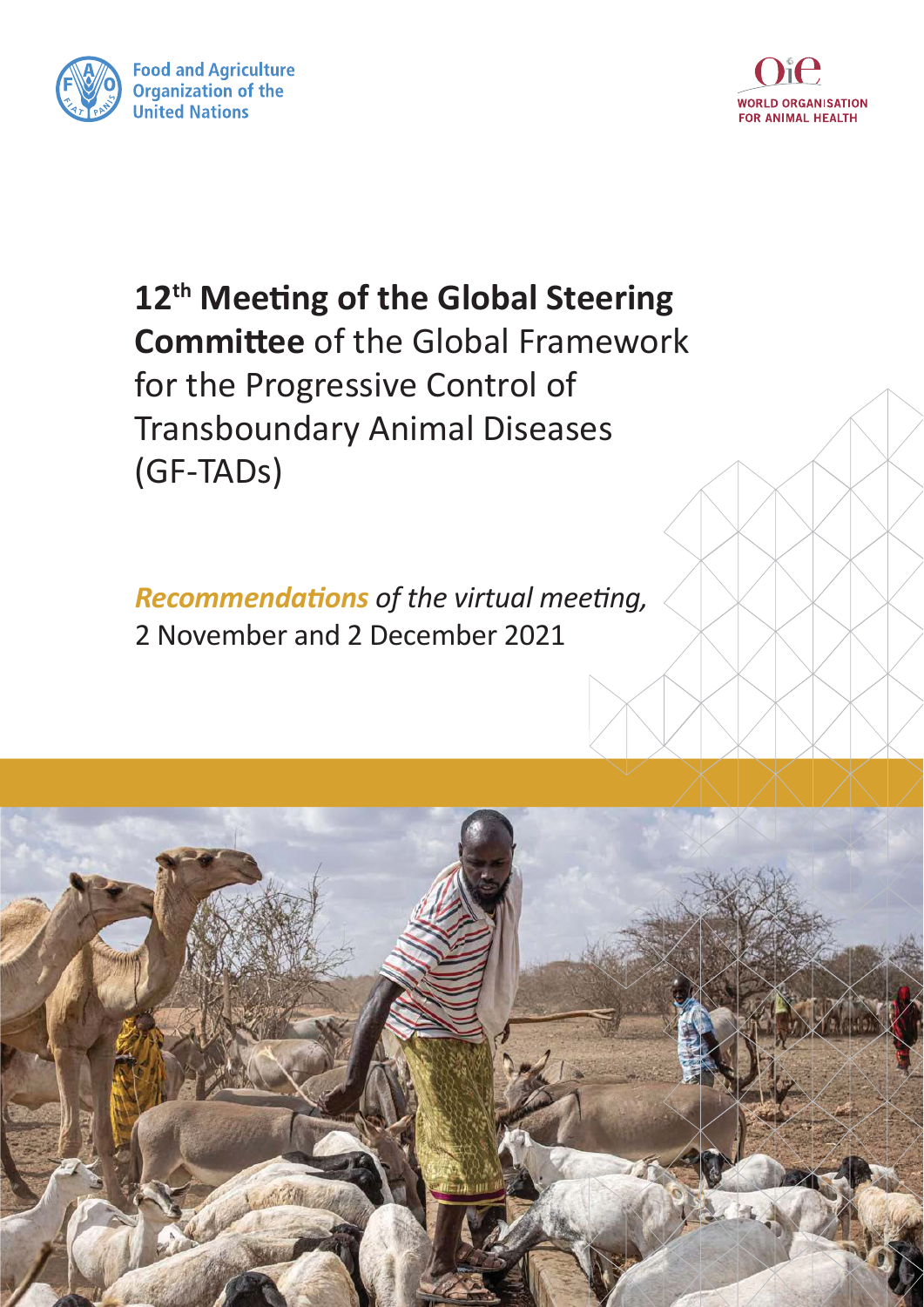



12<sup>th</sup> Meeting of the Global Steering **Committee of the Global Framework** for the Progressive Control of **Transboundary Animal Diseases** (GF-TADs)

**Recommendations of the virtual meeting,** 2 November and 2 December 2021

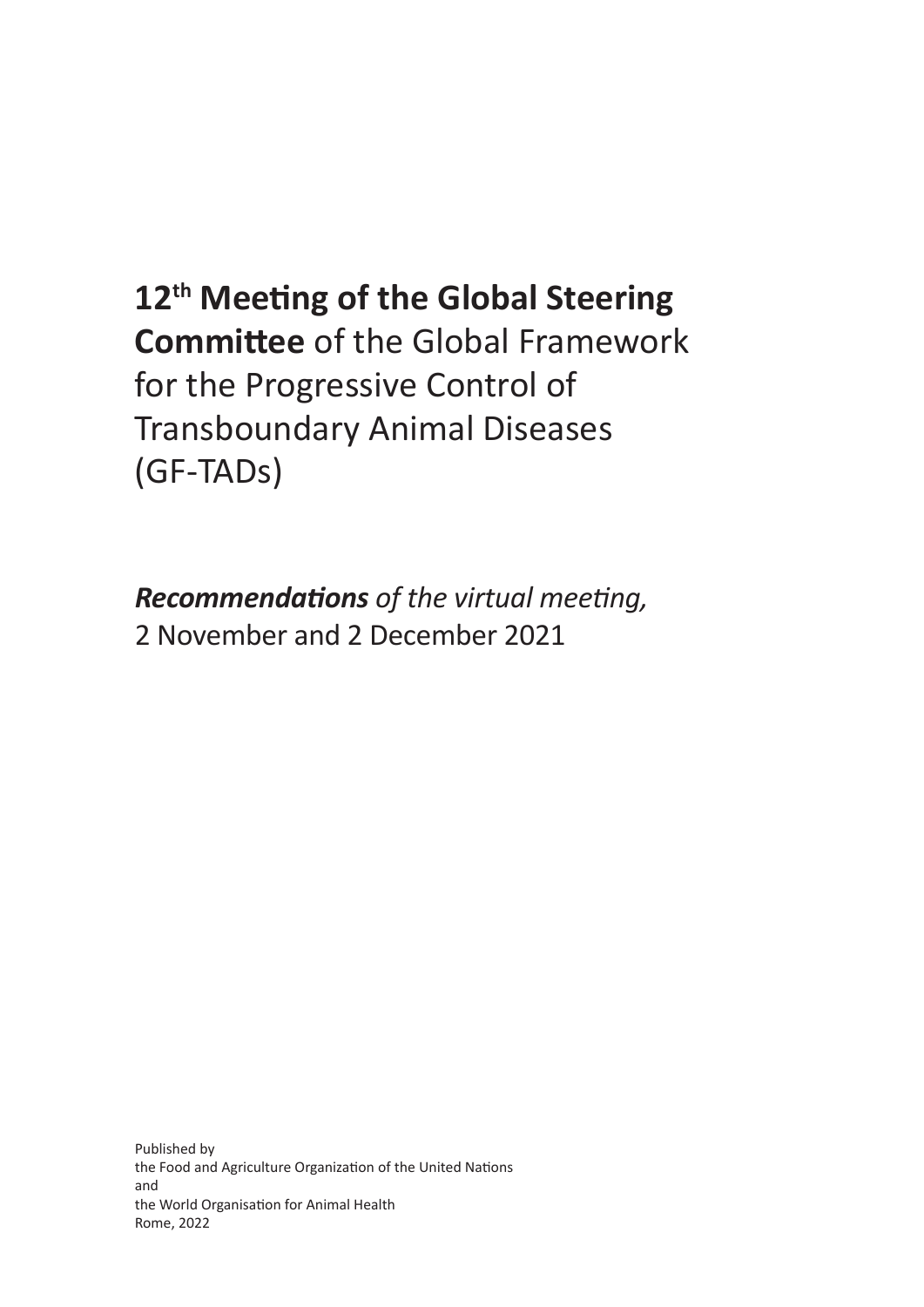## 12<sup>th</sup> Meeting of the Global Steering **Committee of the Global Framework** for the Progressive Control of **Transboundary Animal Diseases** (GF-TADs)

**Recommendations** of the virtual meeting, 2 November and 2 December 2021

Published by the Food and Agriculture Organization of the United Nations and the World Organisation for Animal Health Rome, 2022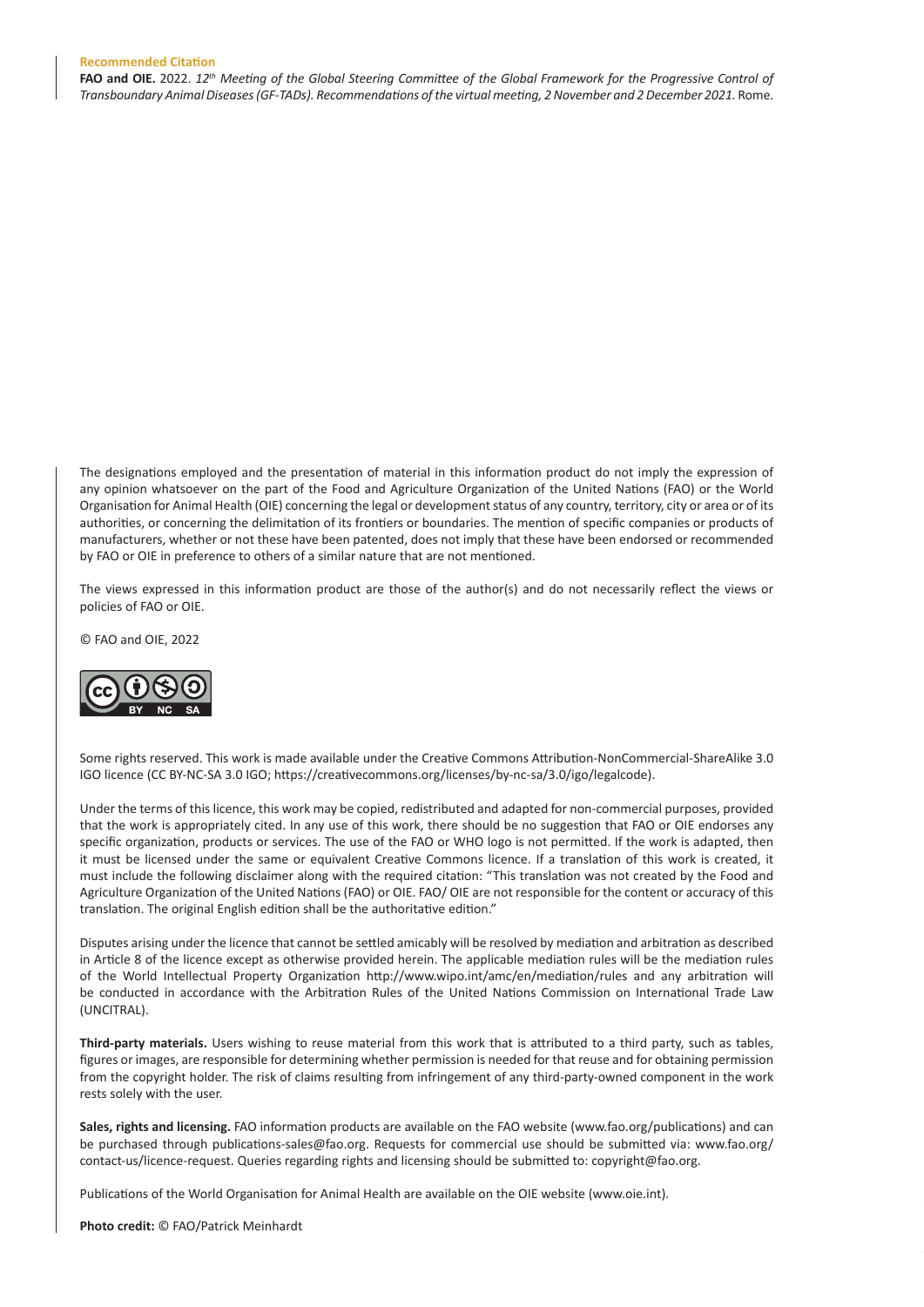## **Recommended Citation**

FAO and OIE. 2022. 12<sup>th</sup> Meeting of the Global Steering Committee of the Global Framework for the Progressive Control of Transboundary Animal Diseases (GF-TADs). Recommendations of the virtual meeting, 2 November and 2 December 2021. Rome.

The designations employed and the presentation of material in this information product do not imply the expression of any opinion whatsoever on the part of the Food and Agriculture Organization of the United Nations (FAO) or the World Organisation for Animal Health (OIE) concerning the legal or development status of any country, territory, city or area or of its authorities, or concerning the delimitation of its frontiers or boundaries. The mention of specific companies or products of manufacturers, whether or not these have been patented, does not imply that these have been endorsed or recommended by FAO or OIE in preference to others of a similar nature that are not mentioned.

The views expressed in this information product are those of the author(s) and do not necessarily reflect the views or policies of FAO or OIE.

C FAO and OIE, 2022



Some rights reserved. This work is made available under the Creative Commons Attribution-NonCommercial-ShareAlike 3.0 IGO licence (CC BY-NC-SA 3.0 IGO; https://creativecommons.org/licenses/by-nc-sa/3.0/igo/legalcode).

Under the terms of this licence, this work may be copied, redistributed and adapted for non-commercial purposes, provided that the work is appropriately cited. In any use of this work, there should be no suggestion that FAO or OIE endorses any specific organization, products or services. The use of the FAO or WHO logo is not permitted. If the work is adapted, then it must be licensed under the same or equivalent Creative Commons licence. If a translation of this work is created, it must include the following disclaimer along with the required citation: "This translation was not created by the Food and Agriculture Organization of the United Nations (FAO) or OIE. FAO/ OIE are not responsible for the content or accuracy of this translation. The original English edition shall be the authoritative edition."

Disputes arising under the licence that cannot be settled amicably will be resolved by mediation and arbitration as described in Article 8 of the licence except as otherwise provided herein. The applicable mediation rules will be the mediation rules of the World Intellectual Property Organization http://www.wipo.int/amc/en/mediation/rules and any arbitration will be conducted in accordance with the Arbitration Rules of the United Nations Commission on International Trade Law (UNCITRAL).

Third-party materials. Users wishing to reuse material from this work that is attributed to a third party, such as tables, figures or images, are responsible for determining whether permission is needed for that reuse and for obtaining permission from the copyright holder. The risk of claims resulting from infringement of any third-party-owned component in the work rests solely with the user.

Sales, rights and licensing. FAO information products are available on the FAO website (www.fao.org/publications) and can be purchased through publications-sales@fao.org. Requests for commercial use should be submitted via: www.fao.org/ contact-us/licence-request. Queries regarding rights and licensing should be submitted to: copyright@fao.org.

Publications of the World Organisation for Animal Health are available on the OIE website (www.oie.int).

Photo credit: © FAO/Patrick Meinhardt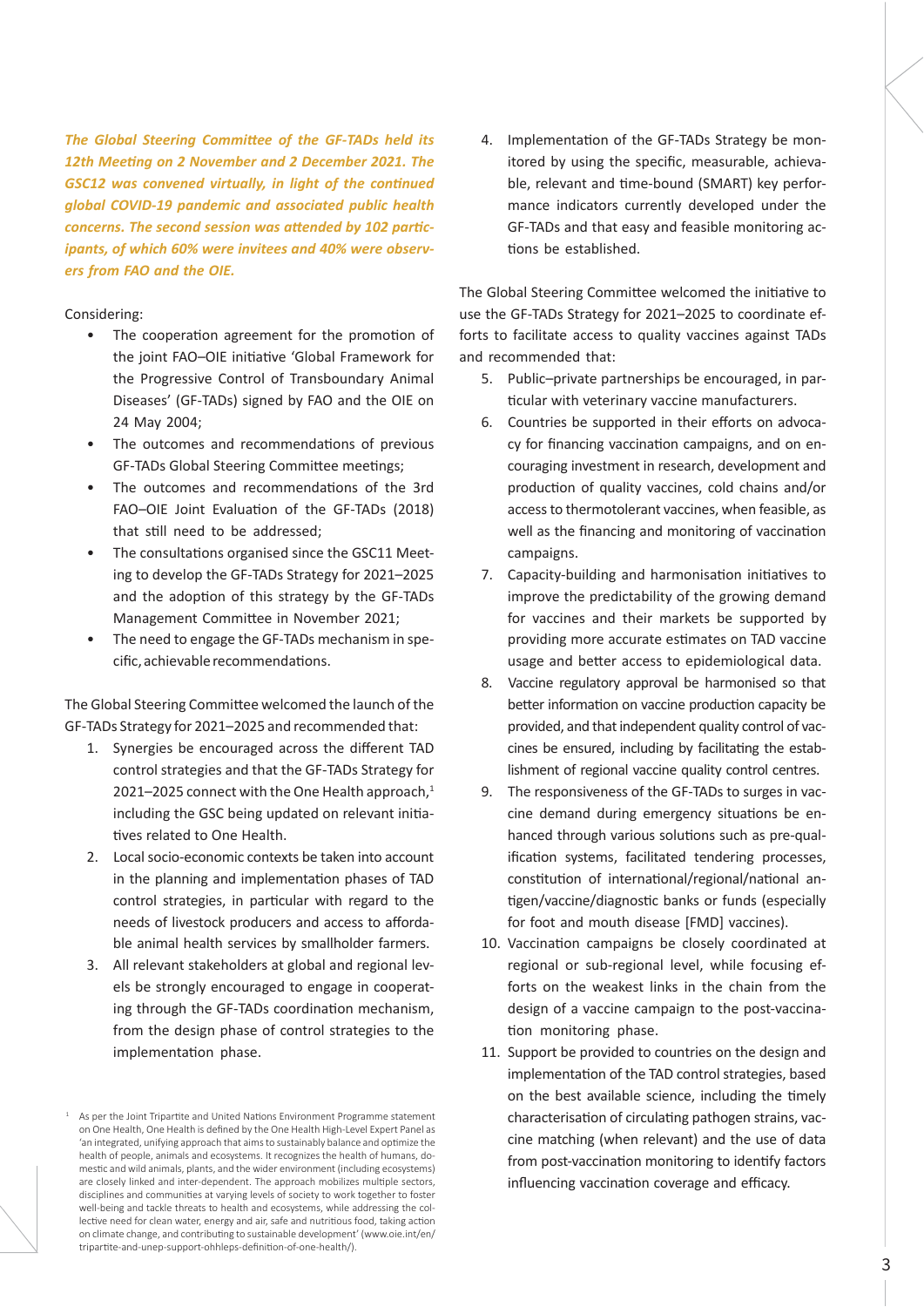*The Global Steering Committee of the GF-TADs held its* 12th Meeting on 2 November and 2 December 2021. The **GSC12** was convened virtually, in light of the continued *global COVID-19 pandemic and associated public health CONCETNA. The second session was attended by 102 partic*ipants, of which 60% were invitees and 40% were observers from **FAO** and the OIE.

## Considering:

1

- The cooperation agreement for the promotion of the joint FAO-OIE initiative 'Global Framework for the Progressive Control of Transboundary Animal Diseases' (GF-TADs) signed by FAO and the OIE on 24 May 2004:
- The outcomes and recommendations of previous GF-TADs Global Steering Committee meetings;
- The outcomes and recommendations of the 3rd FAO-OIE Joint Evaluation of the GF-TADs (2018) that still need to be addressed;
- The consultations organised since the GSC11 Meeting to develop the GF-TADs Strategy for 2021-2025 and the adoption of this strategy by the GF-TADs Management Committee in November 2021;
- The need to engage the GF-TADs mechanism in specific, achievable recommendations.

The Global Steering Committee welcomed the launch of the GF-TADs Strategy for 2021-2025 and recommended that:

- 1. Synergies be encouraged across the different TAD control strategies and that the GF-TADs Strategy for  $2021-2025$  connect with the One Health approach, $^1$ including the GSC being updated on relevant initiatives related to One Health.
- 2. Local socio-economic contexts be taken into account in the planning and implementation phases of TAD control strategies, in particular with regard to the needs of livestock producers and access to affordable animal health services by smallholder farmers.
- 3. All relevant stakeholders at global and regional levels be strongly encouraged to engage in cooperating through the GF-TADs coordination mechanism, from the design phase of control strategies to the implementation phase.

4. Implementation of the GF-TADs Strategy be monitored by using the specific, measurable, achievable, relevant and time-bound (SMART) key performance indicators currently developed under the GF-TADs and that easy and feasible monitoring actions be established.

The Global Steering Committee welcomed the initiative to use the GF-TADs Strategy for 2021-2025 to coordinate efforts to facilitate access to quality vaccines against TADs and recommended that:

- 5. Public-private partnerships be encouraged, in particular with veterinary vaccine manufacturers.
- 6. Countries be supported in their efforts on advocacy for financing vaccination campaigns, and on encouraging investment in research, development and production of quality vaccines, cold chains and/or access to thermotolerant vaccines, when feasible, as well as the financing and monitoring of vaccination campaigns.
- 7. Capacity-building and harmonisation initiatives to improve the predictability of the growing demand for vaccines and their markets be supported by providing more accurate estimates on TAD vaccine usage and better access to epidemiological data.
- 8. Vaccine regulatory approval be harmonised so that better information on vaccine production capacity be provided, and that independent quality control of vaccines be ensured, including by facilitating the establishment of regional vaccine quality control centres.
- 9. The responsiveness of the GF-TADs to surges in vaccine demand during emergency situations be enhanced through various solutions such as pre-qualification systems, facilitated tendering processes, constitution of international/regional/national antigen/vaccine/diagnostic banks or funds (especially for foot and mouth disease [FMD] vaccines).
- 10. Vaccination campaigns be closely coordinated at regional or sub-regional level, while focusing efforts on the weakest links in the chain from the design of a vaccine campaign to the post-vaccination monitoring phase.
- 11. Support be provided to countries on the design and implementation of the TAD control strategies, based on the best available science, including the timely characterisation of circulating pathogen strains, vaccine matching (when relevant) and the use of data from post-vaccination monitoring to identify factors influencing vaccination coverage and efficacy.

As ner the Joint Trinartite and United Nations Environment Programme statement on One Health, One Health is defined by the One Health High-Level Expert Panel as 'an integrated, unifying approach that aims to sustainably balance and optimize the health of people, animals and ecosystems. It recognizes the health of humans, domestic and wild animals, plants, and the wider environment (including ecosystems) are closely linked and inter-dependent. The approach mobilizes multiple sectors, disciplines and communities at varving levels of society to work together to foster well-being and tackle threats to health and ecosystems, while addressing the collective need for clean water, energy and air, safe and nutritious food, taking action on climate change, and contributing to sustainable development' (www.oie.int/en/ tripartite-and-unep-support-ohhleps-definition-of-one-health/).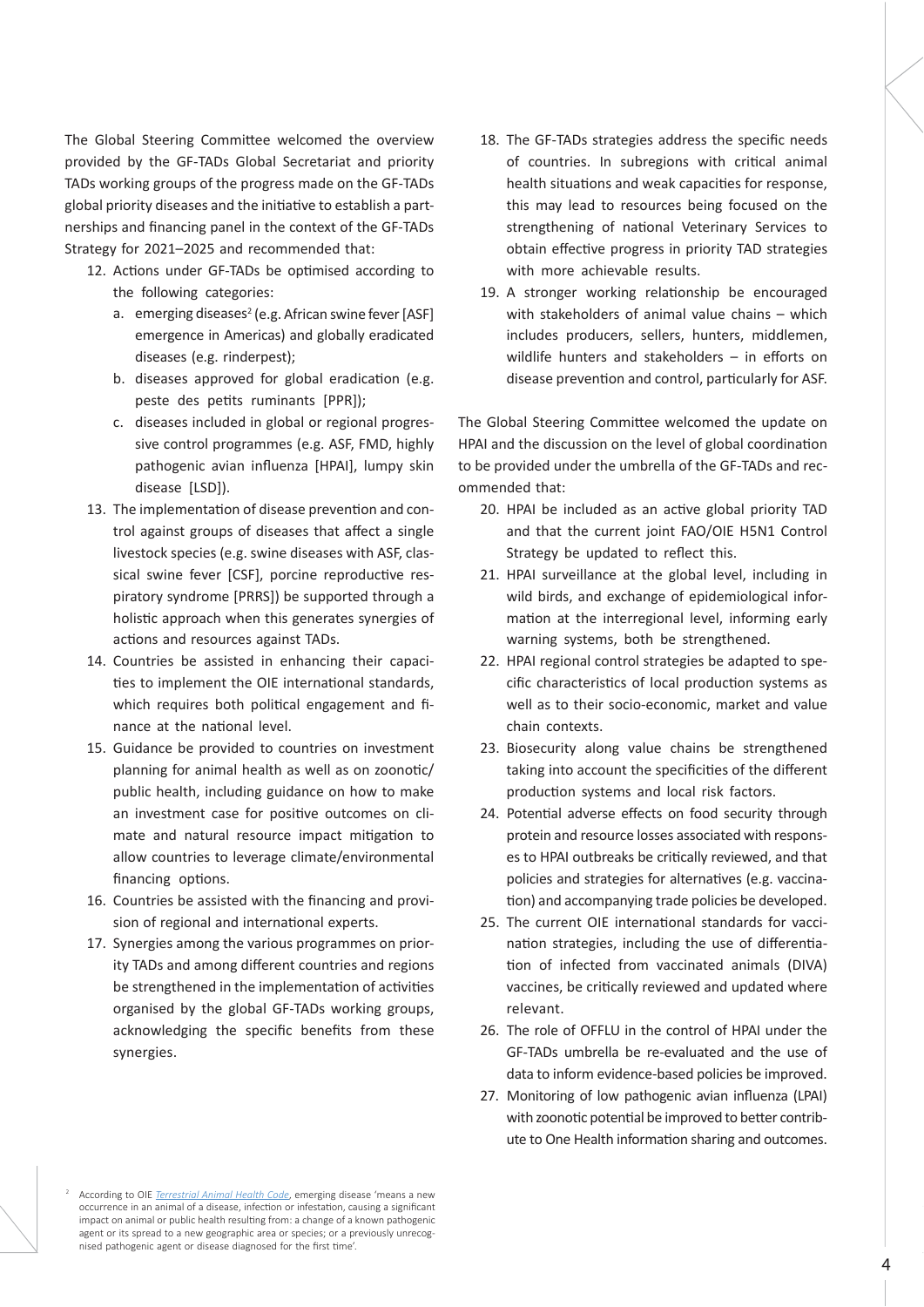The Global Steering Committee welcomed the overview provided by the GF-TADs Global Secretariat and priority TADs working groups of the progress made on the GF-TADs global priority diseases and the initiative to establish a partnerships and financing panel in the context of the GF-TADs Strategy for 2021-2025 and recommended that:

- 12. Actions under GF-TADs be optimised according to the following categories:
	- a. emerging diseases<sup>2</sup> (e.g. African swine fever [ASF] emergence in Americas) and globally eradicated diseases (e.g. rinderpest);
	- b. diseases approved for global eradication (e.g. peste des petits ruminants [PPR]);
	- c. diseases included in global or regional progressive control programmes (e.g. ASF, FMD, highly pathogenic avian influenza [HPAI], lumpy skin disease [LSD]).
- 13. The implementation of disease prevention and control against groups of diseases that affect a single livestock species (e.g. swine diseases with ASF, classical swine fever [CSF], porcine reproductive respiratory syndrome [PRRS]) be supported through a holistic approach when this generates synergies of actions and resources against TADs.
- 14. Countries be assisted in enhancing their capacities to implement the OIE international standards, which requires both political engagement and fihance at the national level.
- 15. Guidance be provided to countries on investment planning for animal health as well as on zoonotic/ public health, including guidance on how to make an investment case for positive outcomes on climate and natural resource impact mitigation to allow countries to leverage climate/environmental financing options.
- 16. Countries be assisted with the financing and provision of regional and international experts.
- 17. Synergies among the various programmes on priority TADs and among different countries and regions be strengthened in the implementation of activities organised by the global GF-TADs working groups, acknowledging the specific benefits from these synergies.
- 18. The GF-TADs strategies address the specific needs of countries. In subregions with critical animal health situations and weak capacities for response, this may lead to resources being focused on the strengthening of national Veterinary Services to obtain effective progress in priority TAD strategies with more achievable results.
- 19. A stronger working relationship be encouraged with stakeholders of animal value chains – which includes producers, sellers, hunters, middlemen, wildlife hunters and stakeholders  $-$  in efforts on disease prevention and control, particularly for ASF.

The Global Steering Committee welcomed the update on HPAI and the discussion on the level of global coordination to be provided under the umbrella of the GF-TADs and recommended that:

- 20. HPAI be included as an active global priority TAD and that the current joint FAO/OIE H5N1 Control Strategy be updated to reflect this.
- 21. HPAI surveillance at the global level, including in wild birds, and exchange of epidemiological information at the interregional level, informing early warning systems, both be strengthened.
- 22. HPAI regional control strategies be adapted to specific characteristics of local production systems as well as to their socio-economic, market and value chain contexts.
- 23. Biosecurity along value chains be strengthened taking into account the specificities of the different production systems and local risk factors.
- 24. Potential adverse effects on food security through protein and resource losses associated with responses to HPAI outbreaks be critically reviewed, and that policies and strategies for alternatives (e.g. vaccination) and accompanying trade policies be developed.
- 25. The current OIE international standards for vaccination strategies, including the use of differentiation of infected from vaccinated animals (DIVA) vaccines, be critically reviewed and updated where relevant.
- 26. The role of OFFLU in the control of HPAI under the GF-TADs umbrella be re-evaluated and the use of data to inform evidence-based policies be improved.
- 27. Monitoring of low pathogenic avian influenza (LPAI) with zoonotic potential be improved to better contribute to One Health information sharing and outcomes.

<sup>2</sup> According to OIE *Terrestrial Animal Health Code*, emerging disease 'means a new occurrence in an animal of a disease, infection or infestation, causing a significant impact on animal or public health resulting from: a change of a known pathogenic agent or its spread to a new geographic area or species; or a previously unrecognised pathogenic agent or disease diagnosed for the first time'.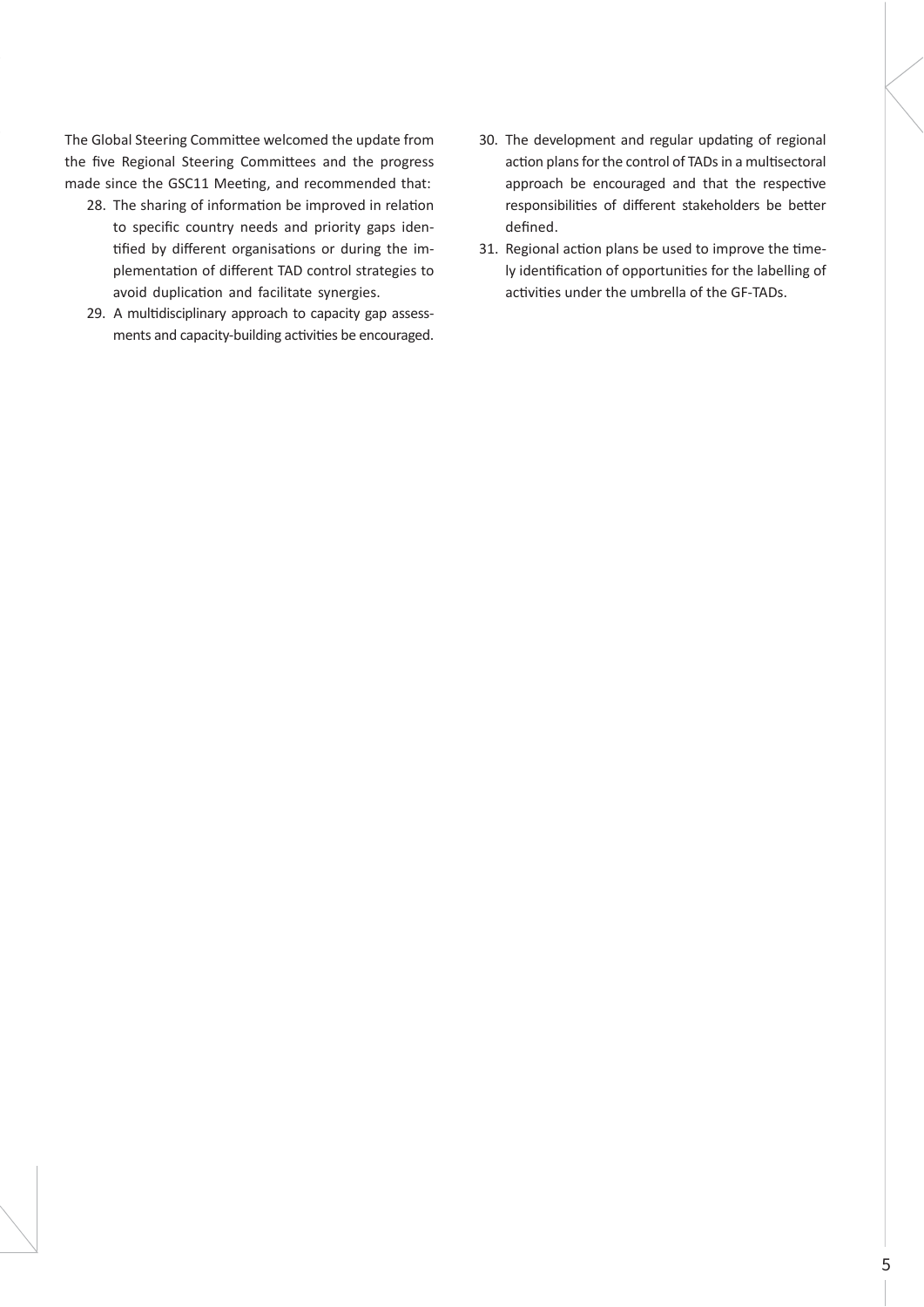The Global Steering Committee welcomed the update from the five Regional Steering Committees and the progress made since the GSC11 Meeting, and recommended that:

- 28. The sharing of information be improved in relation to specific country needs and priority gaps identified by different organisations or during the implementation of different TAD control strategies to avoid duplication and facilitate synergies.
- 29. A multidisciplinary approach to capacity gap assessments and capacity-building activities be encouraged.
- 30. The development and regular updating of regional action plans for the control of TADs in a multisectoral approach be encouraged and that the respective responsibilities of different stakeholders be better defined.
- 31. Regional action plans be used to improve the timely identification of opportunities for the labelling of activities under the umbrella of the GF-TADs.